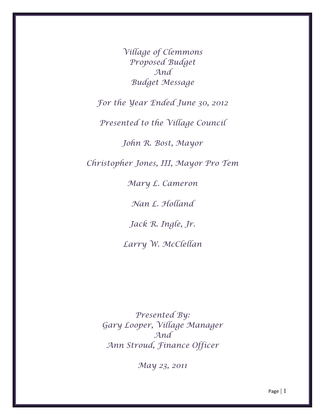*Village of Clemmons Proposed Budget And Budget Message* 

*For the Year Ended June 30, 2012* 

*Presented to the Village Council* 

*John R. Bost, Mayor* 

*Christopher Jones, III, Mayor Pro Tem* 

*Mary L. Cameron* 

*Nan L. Holland* 

*Jack R. Ingle, Jr.* 

*Larry W. McClellan* 

*Presented By: Gary Looper, Village Manager And Ann Stroud, Finance Officer* 

*May 23, 2011*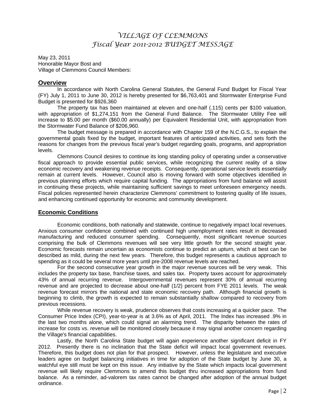## *VILLAGE OF CLEMMONS Fiscal Year 2011-2012 BUDGET MESSAGE*

May 23, 2011 Honorable Mayor Bost and Village of Clemmons Council Members:

#### **Overview**

In accordance with North Carolina General Statutes, the General Fund Budget for Fiscal Year (FY) July 1, 2011 to June 30, 2012 is hereby presented for \$6,763,401 and Stormwater Enterprise Fund Budget is presented for \$926,360

The property tax has been maintained at eleven and one-half (.115) cents per \$100 valuation, with appropriation of \$1,274,151 from the General Fund Balance. The Stormwater Utility Fee will increase to \$5.00 per month (\$60.00 annually) per Equivalent Residential Unit, with appropriation from the Stormwater Fund Balance of \$206,960.

The budget message is prepared in accordance with Chapter 159 of the N.C.G.S., to explain the governmental goals fixed by the budget, important features of anticipated activities, and sets forth the reasons for changes from the previous fiscal year's budget regarding goals, programs, and appropriation levels.

Clemmons Council desires to continue its long standing policy of operating under a conservative fiscal approach to provide essential public services, while recognizing the current reality of a slow economic recovery and weakening revenue receipts. Consequently, operational service levels essentially remain at current levels. However, Council also is moving forward with some objectives identified in previous planning efforts which require capital funding. The appropriations from fund balance will assist in continuing these projects, while maintaining sufficient savings to meet unforeseen emergency needs. Fiscal policies represented herein characterize Clemmons' commitment to fostering quality of life issues, and enhancing continued opportunity for economic and community development.

#### **Economic Conditions**

Economic conditions, both nationally and statewide, continue to negatively impact local revenues. Anxious consumer confidence combined with continued high unemployment rates result in decreased manufacturing and reduced consumer spending. Consequently, most significant revenue sources comprising the bulk of Clemmons revenues will see very little growth for the second straight year. Economic forecasts remain uncertain as economists continue to predict an upturn, which at best can be described as mild, during the next few years. Therefore, this budget represents a cautious approach to spending as it could be several more years until pre-2008 revenue levels are reached.

For the second consecutive year growth in the major revenue sources will be very weak. This includes the property tax base, franchise taxes, and sales tax. Property taxes account for approximately 43% of annual recurring revenue. Intergovernmental revenues represent 30% of annual recurring revenue and are projected to decrease about one-half (1/2) percent from FYE 2011 levels. The weak revenue forecast mirrors the national and state economic recovery path. Although financial growth is beginning to climb, the growth is expected to remain substantially shallow compared to recovery from previous recessions.

While revenue recovery is weak, prudence observes that costs increasing at a quicker pace. The Consumer Price Index (CPI), year-to-year is at 3.6% as of April, 2011. The Index has increased .9% in the last two months alone, which could signal an alarming trend. The disparity between the rates of increase for costs vs. revenue will be monitored closely because it may signal another concern regarding the Village's financial capabilities.

Lastly, the North Carolina State budget will again experience another significant deficit in FY 2012. Presently there is no inclination that the State deficit will impact local government revenues. Therefore, this budget does not plan for that prospect. However, unless the legislature and executive leaders agree on budget balancing initiatives in time for adoption of the State budget by June 30, a watchful eye still must be kept on this issue. Any initiative by the State which impacts local government revenue will likely require Clemmons to amend this budget thru increased appropriations from fund balance. As a reminder, ad-valorem tax rates cannot be changed after adoption of the annual budget ordinance.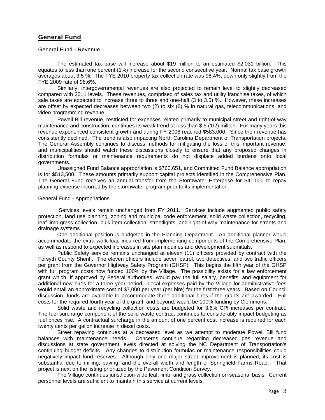## **General Fund**

#### General Fund - Revenue

The estimated tax base will increase about \$19 million to an estimated \$2.031 billion. This equates to less than one percent (1%) increase for the second consecutive year. Normal tax base growth averages about 3.5 %. The FYE 2010 property tax collection rate was 98.4%, down only slightly from the FYE 2009 rate of 98.6%.

Similarly, intergovernmental revenues are also projected to remain level to slightly decreased compared with 2011 levels. These revenues, comprised of sales tax and utility franchise taxes, of which sale taxes are expected to increase three to three and one-half (3 to 3.5) %. However, these increases are offset by expected decreases between two (2) to six (6) % in natural gas, telecommunications, and video programming revenue.

Powell Bill revenue, restricted for expenses related primarily to municipal street and right-of-way maintenance and construction, continues its weak trend at less than \$.5 (1/2) million. For many years this revenue experienced consistent growth and during FY 2008 reached \$583,000. Since then revenue has consistently declined. The trend is also impacting North Carolina Department of Transportation projects. The General Assembly continues to discuss methods for mitigating the loss of this important revenue, and municipalities should watch these discussions closely to ensure that any proposed changes in distribution formulas or maintenance requirements do not displace added burdens onto local governments.

Unassigned Fund Balance appropriation is \$760,651, and Committed Fund Balance appropriation is for \$513,500. These amounts primarily support capital projects identified in the Comprehensive Plan. The General Fund receives an annual transfer from the Stormwater Enterprise for \$41,000 to repay planning expense incurred by the stormwater program prior to its implementation.

#### General Fund *-* Appropriations

Services levels remain unchanged from FY 2011. Services include augmented public safety protection, land use planning, zoning and municipal code enforcement, solid waste collection, recycling, leaf-limb-grass collection, bulk item collection, streetlights, and right-of-way maintenance for streets and drainage systems.

One additional position is budgeted in the Planning Department. An additional planner would accommodate the extra work load incurred from implementing components of the Comprehensive Plan, as well as respond to expected increases in site plan inquiries and development submittals.

Public Safety service remains unchanged at eleven (11) officers provided by contract with the Forsyth County Sheriff. The eleven officers include seven patrol, two detectives, and two traffic officers per grant from the Governor Highway Safety Program (GHSP). This begins the fifth year of the GHSP with full program costs now funded 100% by the Village. The possibility exists for a law enforcement grant which, if approved by Federal authorities, would pay the full salary, benefits, and equipment for additional new hires for a three year period. Local expenses paid by the Village for administrative fees would entail an approximate cost of \$7,000 per year (per hire) for the first three years. Based on Council discussion, funds are available to accommodate three additional hires if the grants are awarded. Full costs for the required fourth year of the grant, and beyond, would be 100% funding by Clemmons.

Solid waste and recycling collection costs are budgeted for 3.6% CPI increases per contract. The fuel surcharge component of the solid waste contract continues to considerably impact budgeting as fuel prices rise. A contractual surcharge in the amount of one percent cost increase is required for each twenty cents per gallon increase in diesel costs.

Street repaving continues at a decreased level as we attempt to moderate Powell Bill fund balances with maintenance needs. Concerns continue regarding decreased gas revenue and discussions at state government levels directed at solving the NC Department of Transportation's continuing budget deficits. Any changes to distribution formulas or maintenance responsibilities could negatively impact fund reserves. Although only one major street improvement is planned, its cost is substantial due to milling, paving, and the overall width and length of Springfield Farms Road. That project is next on the listing prioritized by the Pavement Condition Survey.

The Village continues jurisdiction-wide leaf, limb, and grass collection on seasonal basis. Current personnel levels are sufficient to maintain this service at current levels.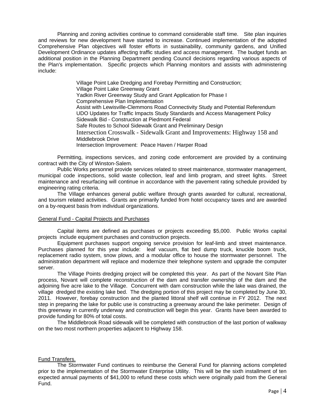Planning and zoning activities continue to command considerable staff time. Site plan inquiries and reviews for new development have started to increase. Continued implementation of the adopted Comprehensive Plan objectives will foster efforts in sustainability, community gardens, and Unified Development Ordinance updates affecting traffic studies and access management. The budget funds an additional position in the Planning Department pending Council decisions regarding various aspects of the Plan's implementation. Specific projects which Planning monitors and assists with administering include:

> Village Point Lake Dredging and Forebay Permitting and Construction; Village Point Lake Greenway Grant Yadkin River Greenway Study and Grant Application for Phase I Comprehensive Plan Implementation Assist with Lewisville-Clemmons Road Connectivity Study and Potential Referendum UDO Updates for Traffic Impacts Study Standards and Access Management Policy Sidewalk Bid - Construction at Piedmont Federal Safe Routes to School Sidewalk Grant and Preliminary Design Intersection Crosswalk - Sidewalk Grant and Improvements: Highway 158 and Middlebrook Drive Intersection Improvement: Peace Haven / Harper Road

Permitting, inspections services, and zoning code enforcement are provided by a continuing contract with the City of Winston-Salem.

Public Works personnel provide services related to street maintenance, stormwater management, municipal code inspections, solid waste collection, leaf and limb program, and street lights. Street maintenance and resurfacing will continue in accordance with the pavement rating schedule provided by engineering rating criteria.

The Village enhances general public welfare through grants awarded for cultural, recreational, and tourism related activities. Grants are primarily funded from hotel occupancy taxes and are awarded on a by-request basis from individual organizations.

#### General Fund - Capital Projects and Purchases

 Capital items are defined as purchases or projects exceeding \$5,000. Public Works capital projects include equipment purchases and construction projects.

 Equipment purchases support ongoing service provision for leaf-limb and street maintenance. Purchases planned for this year include: leaf vacuum, flat bed dump truck, knuckle boom truck, replacement radio system, snow plows, and a modular office to house the stormwater personnel. The administration department will replace and modernize their telephone system and upgrade the computer server.

 The Village Points dredging project will be completed this year. As part of the Novant Site Plan process, Novant will complete reconstruction of the dam and transfer ownership of the dam and the adjoining five acre lake to the Village. Concurrent with dam construction while the lake was drained, the village dredged the existing lake bed. The dredging portion of this project may be completed by June 30, 2011. However, forebay construction and the planted littoral shelf will continue in FY 2012. The next step in preparing the lake for public use is constructing a greenway around the lake perimeter. Design of this greenway in currently underway and construction will begin this year. Grants have been awarded to provide funding for 80% of total costs.

 The Middlebrook Road sidewalk will be completed with construction of the last portion of walkway on the two most northern properties adjacent to Highway 158.

#### Fund Transfers.

The Stormwater Fund continues to reimburse the General Fund for planning actions completed prior to the implementation of the Stormwater Enterprise Utility. This will be the sixth installment of ten expected annual payments of \$41,000 to refund these costs which were originally paid from the General Fund.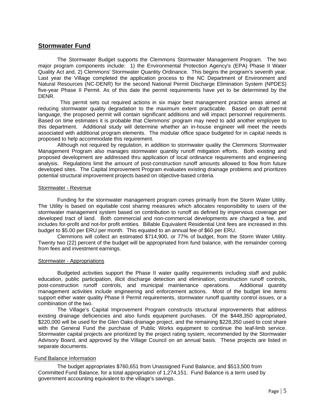#### **Stormwater Fund**

The Stormwater Budget supports the Clemmons Stormwater Management Program. The two major program components include: 1) the Environmental Protection Agency's (EPA) Phase II Water Quality Act and, 2) Clemmons' Stormwater Quantity Ordinance. This begins the program's seventh year. Last year the Village completed the application process to the NC Department of Environment and Natural Resources (NC-DENR) for the second National Permit Discharge Elimination System (NPDES) five-year Phase II Permit. As of this date the permit requirements have yet to be determined by the DENR.

 This permit sets out required actions in six major best management practice areas aimed at reducing stormwater quality degradation to the maximum extent practicable. Based on draft permit language, the proposed permit will contain significant additions and will impact personnel requirements. Based on time estimates it is probable that Clemmons' program may need to add another employee to this department. Additional study will determine whether an in-house engineer will meet the needs associated with additional program elements. The modular office space budgeted for in capital needs is proposed to help accommodate this requirement.

Although not required by regulation, in addition to stormwater quality the Clemmons Stormwater Management Program also manages stormwater quantity runoff mitigation efforts. Both existing and proposed development are addressed thru application of local ordinance requirements and engineering analysis. Regulations limit the amount of post-construction runoff amounts allowed to flow from future developed sites. The Capital Improvement Program evaluates existing drainage problems and prioritizes potential structural improvement projects based on objective-based criteria.

#### Stormwater - Revenue

 Funding for the stormwater management program comes primarily from the Storm Water Utility. The Utility is based on equitable cost sharing measures which allocates responsibility to users of the stormwater management system based on contribution to runoff as defined by impervious coverage per developed tract of land. Both commercial and non-commercial developments are charged a fee, and includes for-profit and not-for profit entities. Billable Equivalent Residential Unit fees are increased in this budget to \$5.00 per ERU per month. This equated to an annual fee of \$60 per ERU.

 Clemmons will collect an estimated \$714,900, or 77% of budget, from the Storm Water Utility. Twenty two (22) percent of the budget will be appropriated from fund balance, with the remainder coming from fees and investment earnings.

#### Stormwater - Appropriations

Budgeted activities support the Phase II water quality requirements including staff and public education, public participation, illicit discharge detection and elimination, construction runoff controls, post-construction runoff controls, and municipal maintenance operations. Additional quantity management activities include engineering and enforcement actions. Most of the budget line items support either water quality Phase II Permit requirements, stormwater runoff quantity control issues, or a combination of the two.

The Village's Capital Improvement Program constructs structural improvements that address existing drainage deficiencies and also funds equipment purchases. Of the \$448,350 appropriated, \$220,000 will be used for the Glen Oaks drainage project, and the remaining \$228,350 used to cost share with the General Fund the purchase of Public Works equipment to continue the leaf-limb service. Stormwater capital projects are prioritized by the project rating system, recommended by the Stormwater Advisory Board, and approved by the Village Council on an annual basis. These projects are listed in separate documents.

#### Fund Balance Information

The budget appropriates \$760,651 from Unassigned Fund Balance, and \$513,500 from Committed Fund Balance, for a total appropriation of 1,274,151. Fund Balance is a term used by government accounting equivalent to the village's savings.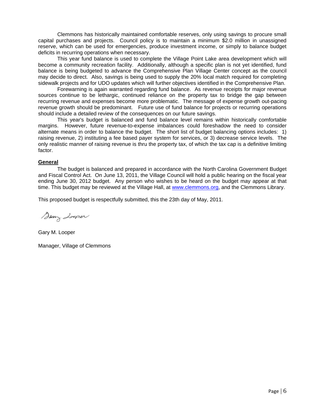Clemmons has historically maintained comfortable reserves, only using savings to procure small capital purchases and projects. Council policy is to maintain a minimum \$2.0 million in unassigned reserve, which can be used for emergencies, produce investment income, or simply to balance budget deficits in recurring operations when necessary.

This year fund balance is used to complete the Village Point Lake area development which will become a community recreation facility. Additionally, although a specific plan is not yet identified, fund balance is being budgeted to advance the Comprehensive Plan Village Center concept as the council may decide to direct. Also, savings is being used to supply the 20% local match required for completing sidewalk projects and for UDO updates which will further objectives identified in the Comprehensive Plan.

Forewarning is again warranted regarding fund balance. As revenue receipts for major revenue sources continue to be lethargic, continued reliance on the property tax to bridge the gap between recurring revenue and expenses become more problematic. The message of expense growth out-pacing revenue growth should be predominant. Future use of fund balance for projects or recurring operations should include a detailed review of the consequences on our future savings.

This year's budget is balanced and fund balance level remains within historically comfortable margins. However, future revenue-to-expense imbalances could foreshadow the need to consider alternate means in order to balance the budget. The short list of budget balancing options includes: 1) raising revenue, 2) instituting a fee based payer system for services, or 3) decrease service levels. The only realistic manner of raising revenue is thru the property tax, of which the tax cap is a definitive limiting factor.

#### **General**

The budget is balanced and prepared in accordance with the North Carolina Government Budget and Fiscal Control Act. On June 13, 2011, the Village Council will hold a public hearing on the fiscal year ending June 30, 2012 budget. Any person who wishes to be heard on the budget may appear at that time. This budget may be reviewed at the Village Hall, at [www.clemmons.org,](http://www.clemmons.org/) and the Clemmons Library.

This proposed budget is respectfully submitted, this the 23th day of May, 2011.

Sarry Looper

Gary M. Looper

Manager, Village of Clemmons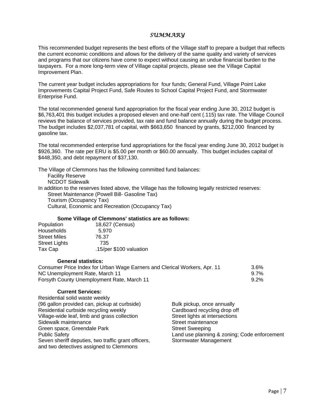#### *SUMMARY*

This recommended budget represents the best efforts of the Village staff to prepare a budget that reflects the current economic conditions and allows for the delivery of the same quality and variety of services and programs that our citizens have come to expect without causing an undue financial burden to the taxpayers. For a more long-term view of Village capital projects, please see the Village Capital Improvement Plan.

The current year budget includes appropriations for four funds; General Fund, Village Point Lake Improvements Capital Project Fund, Safe Routes to School Capital Project Fund, and Stormwater Enterprise Fund.

The total recommended general fund appropriation for the fiscal year ending June 30, 2012 budget is \$6,763,401 this budget includes a proposed eleven and one-half cent (.115) tax rate. The Village Council reviews the balance of services provided, tax rate and fund balance annually during the budget process. The budget includes \$2,037,781 of capital, with \$663,650 financed by grants, \$212,000 financed by gasoline tax.

The total recommended enterprise fund appropriations for the fiscal year ending June 30, 2012 budget is \$926,360. The rate per ERU is \$5.00 per month or \$60.00 annually. This budget includes capital of \$448,350, and debt repayment of \$37,130.

The Village of Clemmons has the following committed fund balances: Facility Reserve NCDOT Sidewalk In addition to the reserves listed above, the Village has the following legally restricted reserves: Street Maintenance (Powell Bill- Gasoline Tax) Tourism (Occupancy Tax)

Cultural, Economic and Recreation (Occupancy Tax)

#### **Some Village of Clemmons' statistics are as follows:**

| Population           | 18,627 (Census)         |
|----------------------|-------------------------|
| Households           | 5.970                   |
| <b>Street Miles</b>  | 76.37                   |
| <b>Street Lights</b> | 735                     |
| Tax Cap              | .15/per \$100 valuation |

#### **General statistics:**

| Consumer Price Index for Urban Wage Earners and Clerical Workers, Apr. 11 | 3.6%    |
|---------------------------------------------------------------------------|---------|
| NC Unemployment Rate, March 11                                            | 9.7%    |
| Forsyth County Unemployment Rate, March 11                                | $9.2\%$ |

#### **Current Services:**

| Residential solid waste weekly                      |                                              |
|-----------------------------------------------------|----------------------------------------------|
| (96 gallon provided can, pickup at curbside)        | Bulk pickup, once annually                   |
| Residential curbside recycling weekly               | Cardboard recycling drop off                 |
| Village-wide leaf, limb and grass collection        | Street lights at intersections               |
| Sidewalk maintenance                                | Street maintenance                           |
| Green space, Greendale Park                         | <b>Street Sweeping</b>                       |
| <b>Public Safety</b>                                | Land use planning & zoning; Code enforcement |
| Seven sheriff deputies, two traffic grant officers, | Stormwater Management                        |
| and two detectives assigned to Clemmons             |                                              |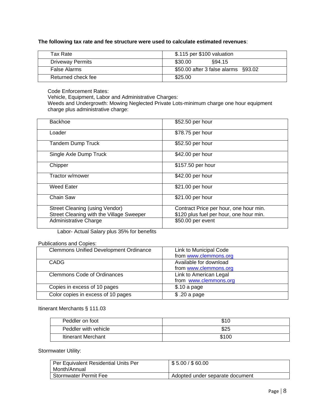#### **The following tax rate and fee structure were used to calculate estimated revenues**:

| Tax Rate                | \$.115 per \$100 valuation          |  |  |  |  |
|-------------------------|-------------------------------------|--|--|--|--|
| <b>Driveway Permits</b> | \$30.00<br>S94.15                   |  |  |  |  |
| False Alarms            | \$50.00 after 3 false alarms §93.02 |  |  |  |  |
| Returned check fee      | \$25.00                             |  |  |  |  |

Code Enforcement Rates:

Vehicle, Equipment, Labor and Administrative Charges:

Weeds and Undergrowth: Mowing Neglected Private Lots-minimum charge one hour equipment charge plus administrative charge:

| <b>Backhoe</b>                           | \$52.50 per hour                        |
|------------------------------------------|-----------------------------------------|
| Loader                                   | \$78.75 per hour                        |
| <b>Tandem Dump Truck</b>                 | \$52.50 per hour                        |
| Single Axle Dump Truck                   | \$42.00 per hour                        |
| Chipper                                  | \$157.50 per hour                       |
| Tractor w/mower                          | \$42.00 per hour                        |
| Weed Eater                               | \$21.00 per hour                        |
| Chain Saw                                | \$21.00 per hour                        |
| <b>Street Cleaning (using Vendor)</b>    | Contract Price per hour, one hour min.  |
| Street Cleaning with the Village Sweeper | \$120 plus fuel per hour, one hour min. |
| Administrative Charge                    | \$50.00 per event                       |

Labor- Actual Salary plus 35% for benefits

#### Publications and Copies:

| <b>Clemmons Unified Development Ordinance</b> | Link to Municipal Code |
|-----------------------------------------------|------------------------|
|                                               | from www.clemmons.org  |
| CADG                                          | Available for download |
|                                               | from www.clemmons.org  |
| Clemmons Code of Ordinances                   | Link to American Legal |
|                                               | from www.clemmons.org  |
| Copies in excess of 10 pages                  | \$.10 a page           |
| Color copies in excess of 10 pages            | \$.20 a page           |

Itinerant Merchants § 111.03

| Peddler on foot      | \$10  |
|----------------------|-------|
| Peddler with vehicle | \$25  |
| Itinerant Merchant   | \$100 |

Stormwater Utility:

| Per Equivalent Residential Units Per | \$5.00 / \$60.00                |
|--------------------------------------|---------------------------------|
| Month/Annual                         |                                 |
| Stormwater Permit Fee                | Adopted under separate document |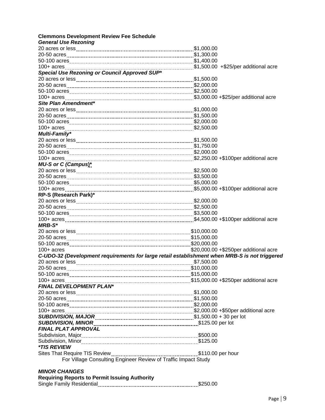| <b>Clemmons Development Review Fee Schedule</b><br><b>General Use Rezoning</b>                |             |                                       |
|-----------------------------------------------------------------------------------------------|-------------|---------------------------------------|
|                                                                                               |             |                                       |
|                                                                                               |             |                                       |
|                                                                                               |             |                                       |
|                                                                                               |             |                                       |
| Special Use Rezoning or Council Approved SUP*                                                 |             |                                       |
|                                                                                               |             |                                       |
|                                                                                               |             |                                       |
|                                                                                               |             |                                       |
|                                                                                               |             |                                       |
|                                                                                               |             |                                       |
|                                                                                               |             |                                       |
|                                                                                               |             |                                       |
|                                                                                               |             |                                       |
|                                                                                               |             |                                       |
| Multi-Family*                                                                                 |             |                                       |
|                                                                                               |             |                                       |
|                                                                                               |             |                                       |
|                                                                                               |             |                                       |
|                                                                                               |             |                                       |
| MU-S or C (Campus)*                                                                           |             |                                       |
|                                                                                               |             |                                       |
|                                                                                               |             |                                       |
|                                                                                               |             |                                       |
|                                                                                               |             |                                       |
| RP-S (Research Park)*                                                                         |             |                                       |
|                                                                                               |             |                                       |
|                                                                                               |             |                                       |
|                                                                                               |             |                                       |
|                                                                                               |             |                                       |
| <b>MRB-S*</b>                                                                                 |             |                                       |
|                                                                                               |             |                                       |
|                                                                                               |             |                                       |
|                                                                                               |             |                                       |
| $100+$ acres                                                                                  |             | \$20,000.00 +\$250per additional acre |
| C-UDO-32 (Development requirements for large retail establishment when MRB-S is not triggered |             |                                       |
|                                                                                               |             |                                       |
| 20-50 acres                                                                                   | \$10,000.00 |                                       |
|                                                                                               |             |                                       |
|                                                                                               |             |                                       |
|                                                                                               |             |                                       |
|                                                                                               |             |                                       |
|                                                                                               |             |                                       |
|                                                                                               |             |                                       |
|                                                                                               |             |                                       |
|                                                                                               |             |                                       |
|                                                                                               |             |                                       |
| <b>FINAL PLAT APPROVAL</b>                                                                    |             |                                       |
|                                                                                               |             |                                       |
|                                                                                               |             |                                       |
| <i><b>*TIS REVIEW</b></i>                                                                     |             |                                       |
|                                                                                               |             |                                       |
| For Village Consulting Engineer Review of Traffic Impact Study                                |             |                                       |

#### *MINOR CHANGES*

## **Requiring Reports to Permit Issuing Authority**

| Single<br>Family<br>Resinc<br>11е |  |
|-----------------------------------|--|
|                                   |  |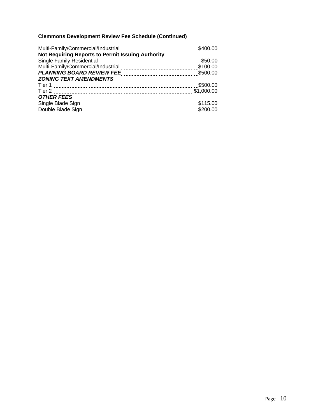## **Clemmons Development Review Fee Schedule (Continued)**

|                                                          | \$400.00   |
|----------------------------------------------------------|------------|
| <b>Not Requiring Reports to Permit Issuing Authority</b> |            |
| <b>Single Family Residential</b>                         | \$50.00    |
|                                                          | \$100.00   |
| <b>PLANNING BOARD REVIEW FEE</b>                         | \$500.00   |
| <b>ZONING TEXT AMENDMENTS</b>                            |            |
|                                                          | \$500.00   |
|                                                          | \$1,000.00 |
| <b>OTHER FEES</b>                                        |            |
|                                                          | \$115.00   |
|                                                          | \$200.00   |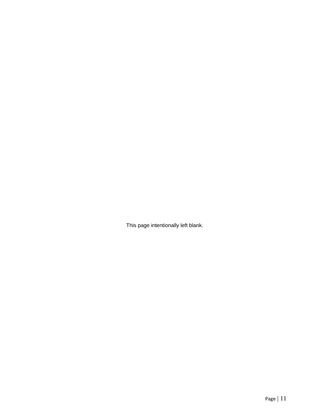This page intentionally left blank.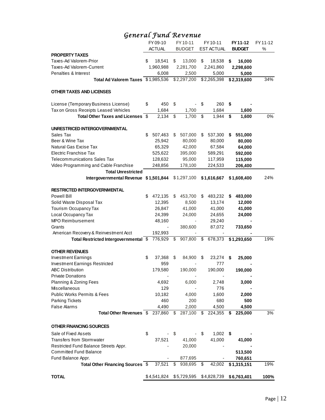|                                        | General Fund Revenue |    |               |    |                                                 |    |               |          |
|----------------------------------------|----------------------|----|---------------|----|-------------------------------------------------|----|---------------|----------|
|                                        | FY 09-10             |    | FY 10-11      |    | FY 10-11                                        |    | FY 11-12      | FY 11-12 |
|                                        | <b>ACTUAL</b>        |    | <b>BUDGET</b> |    | <b>EST ACTUAL</b>                               |    | <b>BUDGET</b> | $\%$     |
| <b>PROPERTY TAXES</b>                  |                      |    |               |    |                                                 |    |               |          |
| Taxes-Ad Valorem-Prior                 | \$<br>18,541         | \$ | 13,000        | \$ | 18,538                                          | \$ | 16,000        |          |
| Taxes-Ad Valorem-Current               | 1,960,988            |    | 2,281,700     |    | 2,241,860                                       |    | 2,298,600     |          |
| Penalties & Interest                   | 6,008                |    | 2,500         |    | 5,000                                           |    | 5,000         |          |
| Total Ad Valorem Taxes \$1,985,536     |                      |    | \$2,297,200   |    | \$2,265,398                                     |    | \$2,319,600   | 34%      |
| <b>OTHER TAXES AND LICENSES</b>        |                      |    |               |    |                                                 |    |               |          |
| License (Temporary Business License)   | \$<br>450            | \$ |               | \$ | 260                                             | \$ |               |          |
| Tax on Gross Receipts Leased Vehicles  | 1,684                |    | 1,700         |    | 1,684                                           |    | 1,600         |          |
| Total Other Taxes and Licenses \$      | 2,134                | \$ | 1,700         | \$ | 1,944                                           | \$ | 1,600         | $0\%$    |
| UNRESTRICED INTERGOVERNMENTAL          |                      |    |               |    |                                                 |    |               |          |
| Sales Tax                              | \$<br>507,463        | S  | 507,000       | S  | 537,300                                         | \$ | 551,000       |          |
| Beer & Wine Tax                        | 25,942               |    | 80,000        |    | 80,000                                          |    | 80,000        |          |
| Natural Gas Excise Tax                 | 65,329               |    | 42,000        |    | 67,584                                          |    | 64,000        |          |
| Electric Franchise Tax                 | 525,622              |    | 395,000       |    | 589,291                                         |    | 592,000       |          |
| <b>Telecommunications Sales Tax</b>    | 128,632              |    | 95,000        |    | 117,959                                         |    | 115,000       |          |
| Video Programming and Cable Franchise  | 248,856              |    | 178,100       |    | 224,533                                         |    | 206,400       |          |
| <b>Total Unrestricted</b>              |                      |    |               |    |                                                 |    |               |          |
| Intergovernmental Revenue \$1,501,844  |                      |    | \$1,297,100   |    | \$1,616,667                                     |    | \$1,608,400   | 24%      |
| <b>RESTRICTED INTERGOVERNMENTAL</b>    |                      |    |               |    |                                                 |    |               |          |
| <b>Powell Bill</b>                     | \$<br>472,135        | S  | 453,700       | S  | 483,232                                         | \$ | 483,000       |          |
| Solid Waste Disposal Tax               | 12,395               |    | 8,500         |    | 13,174                                          |    | 12,000        |          |
| <b>Tourism Occupancy Tax</b>           | 26,847               |    | 41,000        |    | 41,000                                          |    | 41,000        |          |
| Local Occupancy Tax                    | 24,399               |    | 24,000        |    | 24,655                                          |    | 24,000        |          |
| MPO Reimbursement                      | 48,160               |    |               |    | 29,240                                          |    |               |          |
| Grants                                 |                      |    | 380,600       |    | 87,072                                          |    | 733,650       |          |
| American Recovery & Reinvestment Acct  | 192,993              |    |               |    |                                                 |    |               |          |
| Total Restricted Intergovernmental \$  | 776,929              | S  | 907,800       | \$ | 678,373                                         |    | \$1.293.650   | 19%      |
| <b>OTHER REVENUES</b>                  |                      |    |               |    |                                                 |    |               |          |
| <b>Investment Earnings</b>             | \$<br>37,368         | S  | 84,900        | \$ | 23,274                                          | S  | 25,000        |          |
| Investment Earnings Restricted         | 959                  |    |               |    | 777                                             |    |               |          |
| ABC Distribution                       | 179,580              |    | 190,000       |    | 190,000                                         |    | 190,000       |          |
| <b>Private Donations</b>               |                      |    |               |    |                                                 |    |               |          |
| Planning & Zoning Fees                 | 4,692                |    | 6,000         |    | 2,748                                           |    | 3,000         |          |
| Miscellaneous                          | 129                  |    |               |    | 776                                             |    |               |          |
| <b>Public Works Permits &amp; Fees</b> | 10,182               |    | 4,000         |    | 1,600                                           |    | 2,000         |          |
| <b>Parking Tickets</b>                 | 460                  |    | 200           |    | 680                                             |    | 500           |          |
| <b>False Alarms</b>                    | 4,490                |    | 2,000         |    | 4,500                                           |    | 4,500         |          |
| Total Other Revenues \$                | 237,860              | S. | 287,100       | S. | 224,355                                         | S  | 225,000       | 3%       |
|                                        |                      |    |               |    |                                                 |    |               |          |
| <b>OTHER FINANCING SOURCES</b>         |                      |    |               |    |                                                 |    |               |          |
| Sale of Fixed Assets                   | \$                   | S  |               | S  | $1,002$ \$                                      |    |               |          |
| <b>Transfers from Stormwater</b>       | 37,521               |    | 41,000        |    | 41,000                                          |    | 41,000        |          |
| Restricted Fund Balance Streets Appr.  |                      |    | 20,000        |    |                                                 |    |               |          |
| <b>Committed Fund Balance</b>          |                      |    |               |    |                                                 |    | 513,500       |          |
| Fund Balance Appr.                     |                      |    | 877,695       |    |                                                 |    | 760,651       |          |
| Total Other Financing Sources \$       | 37,521               | \$ | 938,695       | S. | 42,002                                          |    | \$1,315,151   | 19%      |
| <b>TOTAL</b>                           |                      |    |               |    | \$4,541,824 \$5,729,595 \$4,828,739 \$6,763,401 |    |               | 100%     |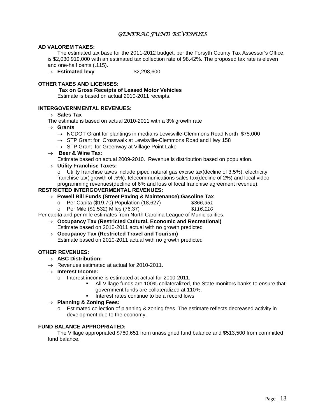#### *GENERAL FUND REVENUES*

#### **AD VALOREM TAXES:**

The estimated tax base for the 2011-2012 budget, per the Forsyth County Tax Assessor's Office, is \$2,030,919,000 with an estimated tax collection rate of 98.42%. The proposed tax rate is eleven and one-half cents (.115).

 $\rightarrow$  **Estimated levy** \$2,298,600

#### **OTHER TAXES AND LICENSES:**

#### **Tax on Gross Receipts of Leased Motor Vehicles**

Estimate is based on actual 2010-2011 receipts.

#### **INTERGOVERNMENTAL REVENUES:**

#### → **Sales Tax**

The estimate is based on actual 2010-2011 with a 3% growth rate

- → **Grants**
	- $\rightarrow$  NCDOT Grant for plantings in medians Lewisville-Clemmons Road North \$75,000
	- $\rightarrow$  STP Grant for Crosswalk at Lewisville-Clemmons Road and Hwy 158
	- $\rightarrow$  STP Grant for Greenway at Village Point Lake
- → **Beer & Wine Tax**:

Estimate based on actual 2009-2010. Revenue is distribution based on population.

#### → **Utility Franchise Taxes:**

 $\circ$  Utility franchise taxes include piped natural gas excise tax (decline of 3.5%), electricity franchise tax( growth of .5%), telecommunications sales tax(decline of 2%) and local video programming revenues(decline of 6% and loss of local franchise agreement revenue).

#### **RESTRICTED INTERGOVERMENTAL REVENUES:**

#### → **Powell Bill Funds (Street Paving & Maintenance):Gasoline Tax**

- o Per Capita (\$19.70) Population (18,627) *\$366,951*
- o Per Mile (\$1,532) Miles (76.37) *\$116,110*

Per capita and per mile estimates from North Carolina League of Municipalities.

- → **Occupancy Tax (Restricted Cultural, Economic and Recreational)**  Estimate based on 2010-2011 actual with no growth predicted
- → **Occupancy Tax (Restricted Travel and Tourism)** Estimate based on 2010-2011 actual with no growth predicted

#### **OTHER REVENUES:**

- → **ABC Distribution:**
- $\rightarrow$  Revenues estimated at actual for 2010-2011.
- → **Interest Income:** 
	- o Interest income is estimated at actual for 2010-2011.
		- All Village funds are 100% collateralized, the State monitors banks to ensure that government funds are collateralized at 110%.
		- **Interest rates continue to be a record lows.**

#### → **Planning & Zoning Fees:**

o Estimated collection of planning & zoning fees. The estimate reflects decreased activity in development due to the economy.

#### **FUND BALANCE APPROPRIATED:**

The Village appropriated \$760,651 from unassigned fund balance and \$513,500 from committed fund balance.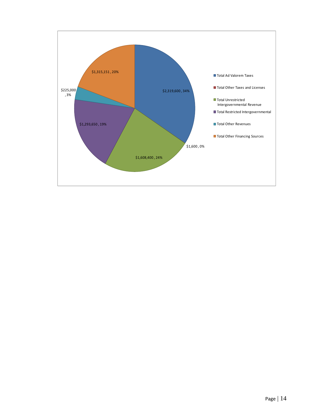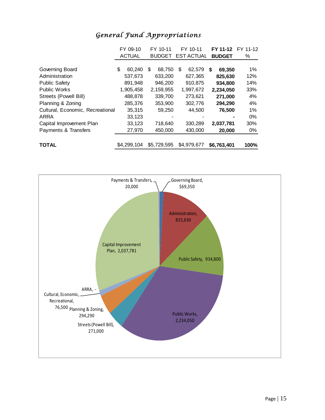## *General Fund Appropriations*

|                                  | FY 09-10      | FY 10-11      | FY 10-11          | FY 11-12      | FY 11-12 |
|----------------------------------|---------------|---------------|-------------------|---------------|----------|
|                                  | <b>ACTUAL</b> | <b>BUDGET</b> | <b>EST ACTUAL</b> | <b>BUDGET</b> | %        |
|                                  |               |               |                   |               |          |
| Governing Board                  | 60,240<br>S   | 68.750<br>\$. | 62.579<br>S       | \$<br>69,350  | 1%       |
| Administration                   | 537,673       | 633,200       | 627,365           | 825,630       | 12%      |
| <b>Public Safety</b>             | 891,948       | 946,200       | 910,875           | 934.800       | 14%      |
| <b>Public Works</b>              | 1,905,458     | 2,159,955     | 1,997,672         | 2,234,050     | 33%      |
| Streets (Powell Bill)            | 488.878       | 339,700       | 273,621           | 271,000       | 4%       |
| Planning & Zoning                | 285,376       | 353,900       | 302,776           | 294.290       | 4%       |
| Cultural, Economic, Recreational | 35,315        | 59,250        | 44,500            | 76,500        | 1%       |
| ARRA                             | 33,123        |               |                   |               | $0\%$    |
| Capital Improvement Plan         | 33,123        | 718.640       | 330,289           | 2,037,781     | 30%      |
| Payments & Transfers             | 27,970        | 450,000       | 430,000           | 20,000        | $0\%$    |
|                                  |               |               |                   |               |          |
| <b>TOTAL</b>                     | \$4.299.104   | \$5.729.595   | \$4.979.677       | \$6,763,401   | 100%     |

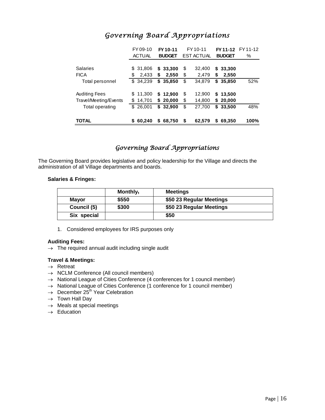|                       |    | FY 09-10<br><b>ACTUAL</b> |    | FY 10-11<br><b>BUDGET</b> |    | FY 10-11<br><b>EST ACTUAL</b> |    | <b>BUDGET</b> | <b>FY 11-12</b> FY 11-12<br>% |
|-----------------------|----|---------------------------|----|---------------------------|----|-------------------------------|----|---------------|-------------------------------|
|                       |    |                           |    |                           |    |                               |    |               |                               |
| Salaries              | \$ | 31,806                    | S. | 33,300                    | \$ | 32,400                        | \$ | 33.300        |                               |
| <b>FICA</b>           | \$ | 2,433                     | \$ | 2,550                     | \$ | 2.479                         | \$ | 2,550         |                               |
| Total personnel       | \$ | 34,239                    | \$ | 35,850                    | \$ | 34,879                        | \$ | 35,850        | 52%                           |
| <b>Auditing Fees</b>  | S. | 11,300                    |    | \$12.900                  | \$ | 12,900                        | S. | 13.500        |                               |
| Travel/Meeting/Events | S  | 14,701                    | S. | 20,000                    | \$ | 14,800                        | \$ | 20,000        |                               |
| Total operating       | \$ | 26,001                    | \$ | 32,900                    | \$ | 27,700                        | \$ | 33,500        | 48%                           |
| TOTAL                 | S  | 60.240                    | S  | 68.750                    | \$ | 62.579                        | S  | 69.350        | 100%                          |

## *Governing Board Appropriations*

## *Governing Board Appropriations*

The Governing Board provides legislative and policy leadership for the Village and directs the administration of all Village departments and boards.

#### **Salaries & Fringes:**

|              | Monthly <sub>1</sub> | <b>Meetings</b>          |
|--------------|----------------------|--------------------------|
| <b>Mavor</b> | \$550                | \$50 23 Regular Meetings |
| Council (5)  | \$300                | \$50 23 Regular Meetings |
| Six special  |                      | \$50                     |

1. Considered employees for IRS purposes only

#### **Auditing Fees:**

 $\rightarrow$  The required annual audit including single audit

#### **Travel & Meetings:**

- $\rightarrow$  Retreat
- $\rightarrow$  NCLM Conference (All council members)
- $\rightarrow$  National League of Cities Conference (4 conferences for 1 council member)
- $\rightarrow$  National League of Cities Conference (1 conference for 1 council member)
- $\rightarrow$  December 25<sup>th</sup> Year Celebration
- $\rightarrow$  Town Hall Day
- $\rightarrow$  Meals at special meetings
- $\rightarrow$  Education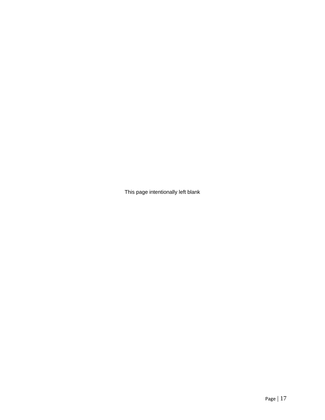This page intentionally left blank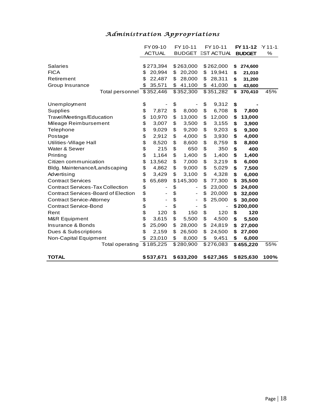## *Administration Appropriations*

|                                            | FY 09-10      | FY 10-11                       | FY 10-11 |                          | FY 11-12 Y 11-1. |               |      |
|--------------------------------------------|---------------|--------------------------------|----------|--------------------------|------------------|---------------|------|
|                                            | <b>ACTUAL</b> |                                |          | <b>BUDGET EST ACTUAL</b> |                  | <b>BUDGET</b> | %    |
|                                            |               |                                |          |                          |                  |               |      |
| <b>Salaries</b>                            | \$273,394     | \$263,000                      |          | \$262,000                | \$               | 274,600       |      |
| <b>FICA</b>                                | \$<br>20,994  | \$<br>20,200                   | \$       | 19,941                   | \$               | 21,010        |      |
| Retirement                                 | \$<br>22,487  | \$<br>28,000                   | \$       | 28,311                   | \$               | 31,200        |      |
| Group Insurance                            | \$<br>35,571  | \$41,100                       |          | \$41,030                 | \$               | 43,600        |      |
| Total personnel                            | \$352,446     | \$352,300                      |          | \$351,282                | \$               | 370,410       | 45%  |
|                                            |               |                                |          |                          |                  |               |      |
| Unemployment                               | \$            | \$                             | \$       | 9,312                    | \$               |               |      |
| Supplies                                   | \$<br>7,872   | \$<br>8,000                    | \$       | 6,708                    | \$               | 7,800         |      |
| Travel/Meetings/Education                  | \$<br>10,970  | \$<br>13,000                   | \$       | 12,000                   | \$               | 13,000        |      |
| Mileage Reimbursement                      | \$<br>3,007   | \$<br>3,500                    | \$       | 3,155                    | \$               | 3,900         |      |
| Telephone                                  | \$<br>9,029   | \$<br>9,200                    | \$       | 9,203                    | \$               | 9,300         |      |
| Postage                                    | \$<br>2,912   | \$<br>4,000                    | \$       | 3,930                    | \$               | 4,000         |      |
| Utilities-Village Hall                     | \$<br>8,520   | \$<br>8,600                    | \$       | 8,759                    | \$               | 8,800         |      |
| Water & Sewer                              | \$<br>215     | \$<br>650                      | \$       | 350                      | \$               | 400           |      |
| Printing                                   | \$<br>1,164   | \$<br>1,400                    | \$       | 1,400                    | \$               | 1,400         |      |
| Citizen communication                      | \$<br>13,562  | \$<br>7,000                    | \$       | 3,219                    | \$               | 6,000         |      |
| Bldg. Maintenance/Landscaping              | \$<br>4,862   | \$<br>9,000                    | \$       | 5,029                    | \$               | 7,500         |      |
| Advertising                                | \$<br>3,429   | \$<br>3,100                    | \$       | 4,328                    | \$               | 6,000         |      |
| <b>Contract Services</b>                   | \$<br>65,689  | \$145,300                      | \$       | 77,300                   | \$               | 35,500        |      |
| <b>Contract Services-Tax Collection</b>    | \$            | \$                             | \$       | 23,000                   | \$               | 24,000        |      |
| <b>Contract Services-Board of Election</b> | \$            | \$                             | \$       | 20,000                   | \$               | 32,000        |      |
| <b>Contract Service-Attorney</b>           | \$            | \$<br>$\overline{\phantom{0}}$ | \$       | 25,000                   | \$               | 30,000        |      |
| <b>Contract Service-Bond</b>               | \$            | \$<br>$\overline{\phantom{m}}$ | \$       |                          |                  | \$200,000     |      |
| Rent                                       | \$<br>120     | \$<br>150                      | \$       | 120                      | \$               | 120           |      |
| <b>M&amp;R Equipment</b>                   | \$<br>3,615   | \$<br>5,500                    | \$       | 4,500                    | \$               | 5,500         |      |
| Insurance & Bonds                          | \$<br>25,090  | \$<br>28,000                   | \$       | 24,819                   | \$               | 27,000        |      |
| Dues & Subscriptions                       | \$<br>2,159   | \$<br>26,500                   | \$       | 24,500                   | \$               | 27,000        |      |
| Non-Capital Equipment                      | \$<br>23,010  | \$<br>8,000                    | \$       | 9,451                    | \$               | 6,000         |      |
| Total operating                            | \$185,225     | \$280,900                      |          | \$276,083                |                  | \$455,220     | 55%  |
|                                            |               |                                |          |                          |                  |               |      |
| <b>TOTAL</b>                               | \$537,671     | \$633,200                      |          | \$627,365                |                  | \$825,630     | 100% |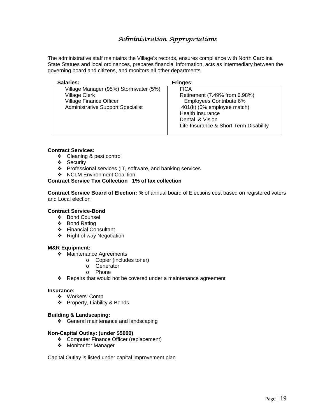## *Administration Appropriations*

The administrative staff maintains the Village's records, ensures compliance with North Carolina State Statues and local ordinances, prepares financial information, acts as intermediary between the governing board and citizens, and monitors all other departments.

| Salaries:                                | <b>Fringes:</b>                        |
|------------------------------------------|----------------------------------------|
| Village Manager (95%) Stormwater (5%)    | <b>FICA</b>                            |
| <b>Village Clerk</b>                     | Retirement (7.49% from 6.98%)          |
| Village Finance Officer                  | Employees Contribute 6%                |
| <b>Administrative Support Specialist</b> | 401(k) (5% employee match)             |
|                                          | Health Insurance                       |
|                                          | Dental & Vision                        |
|                                          | Life Insurance & Short Term Disability |
|                                          |                                        |

#### **Contract Services:**

- ❖ Cleaning & pest control
- Security
- Professional services (IT, software, and banking services
- ◆ NCLM Environment Coalition

#### **Contract Service Tax Collection 1% of tax collection**

**Contract Service Board of Election: %** of annual board of Elections cost based on registered voters and Local election

#### **Contract Service-Bond**

- ❖ Bond Counsel
- ❖ Bond Rating
- Financial Consultant
- ❖ Right of way Negotiation

#### **M&R Equipment:**

- Maintenance Agreements
	- o Copier (includes toner)
	- o Generator
	- o Phone
- $\div$  Repairs that would not be covered under a maintenance agreement

#### **Insurance:**

- Workers' Comp
- Property, Liability & Bonds

#### **Building & Landscaping:**

General maintenance and landscaping

#### **Non-Capital Outlay: (under \$5000)**

- Computer Finance Officer (replacement)
- Monitor for Manager

Capital Outlay is listed under capital improvement plan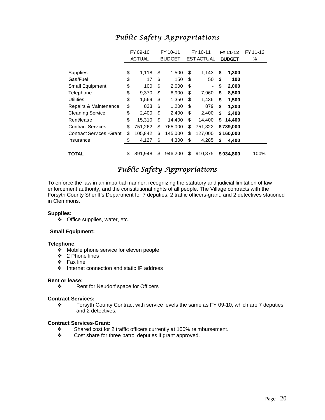|                                  | FY 09-10      | FY 10-11      | FY 10-11 |                   |    | FY 11-12      | FY 11-12 |
|----------------------------------|---------------|---------------|----------|-------------------|----|---------------|----------|
|                                  | <b>ACTUAL</b> | <b>BUDGET</b> |          | <b>EST ACTUAL</b> |    | <b>BUDGET</b> | %        |
|                                  |               |               |          |                   |    |               |          |
| <b>Supplies</b>                  | \$<br>1,118   | \$<br>1,500   | \$       | 1,143             | S  | 1,300         |          |
| Gas/Fuel                         | \$<br>17      | \$<br>150     | \$       | 50                | S  | 100           |          |
| <b>Small Equipment</b>           | \$<br>100     | \$<br>2,000   | \$       | ٠                 | \$ | 2,000         |          |
| Telephone                        | \$<br>9,370   | \$<br>8,900   | \$       | 7,960             | S  | 8,500         |          |
| <b>Utilities</b>                 | \$<br>1,569   | \$<br>1,350   | \$       | 1,436             | \$ | 1,500         |          |
| Repairs & Maintenance            | \$<br>833     | \$<br>1,200   | \$       | 879               | \$ | 1,200         |          |
| <b>Cleaning Service</b>          | \$<br>2,400   | \$<br>2,400   | \$       | 2,400             | \$ | 2,400         |          |
| Rent/lease                       | \$<br>15,310  | \$<br>14,400  | \$       | 14,400            | S. | 14,400        |          |
| <b>Contract Services</b>         | \$<br>751,262 | \$<br>765,000 | \$       | 751,322           |    | \$739,000     |          |
| <b>Contract Services - Grant</b> | \$<br>105,842 | \$<br>145,000 | \$       | 127,000           |    | \$160,000     |          |
| Insurance                        | \$<br>4,127   | \$<br>4,300   | \$       | 4,285             | S  | 4,400         |          |
|                                  |               |               |          |                   |    |               |          |
| <b>TOTAL</b>                     | \$<br>891,948 | \$<br>946,200 | \$       | 910,875           |    | \$934,800     | 100%     |

## *Public Safety Appropriations*

## *Public Safety Appropriations*

To enforce the law in an impartial manner, recognizing the statutory and judicial limitation of law enforcement authority, and the constitutional rights of all people. The Village contracts with the Forsyth County Sheriff's Department for 7 deputies, 2 traffic officers-grant, and 2 detectives stationed in Clemmons.

#### **Supplies:**

❖ Office supplies, water, etc.

#### **Small Equipment:**

#### **Telephone**:

- Mobile phone service for eleven people
- 2 Phone lines
- ❖ Fax line
- ❖ Internet connection and static IP address

#### **Rent or lease:**

Rent for Neudorf space for Officers

#### **Contract Services:**

Forsyth County Contract with service levels the same as FY 09-10, which are 7 deputies and 2 detectives.

#### **Contract Services-Grant:**

- Shared cost for 2 traffic officers currently at 100% reimbursement.
- Cost share for three patrol deputies if grant approved.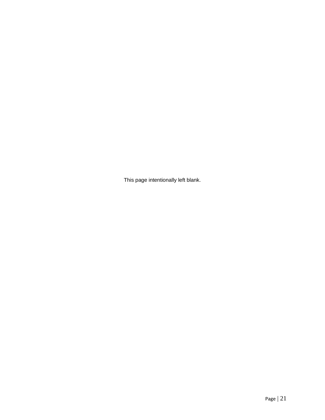This page intentionally left blank.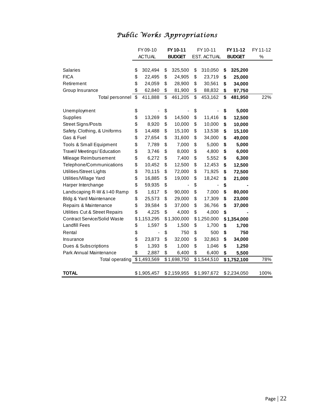## *Public Works Appropriations*

|                                     | FY 09-10 |               | FY 10-11 | FY 10-11      |    |             | FY 11-12 | FY 11-12      |      |
|-------------------------------------|----------|---------------|----------|---------------|----|-------------|----------|---------------|------|
|                                     |          | <b>ACTUAL</b> |          | <b>BUDGET</b> |    | EST. ACTUAL |          | <b>BUDGET</b> | %    |
|                                     |          |               |          |               |    |             |          |               |      |
| <b>Salaries</b>                     | \$       | 302,494       | \$       | 325,500       | \$ | 310,050     | \$       | 325,200       |      |
| <b>FICA</b>                         | \$       | 22,495        | \$       | 24,905        | \$ | 23,719      | \$       | 25,000        |      |
| Retirement                          | \$       | 24,059        | \$       | 28,900        | \$ | 30,561      | \$       | 34,000        |      |
| Group Insurance                     | \$       | 62,840        | \$       | 81,900        | \$ | 88,832      | \$       | 97,750        |      |
| Total personnel                     | \$       | 411,888       | \$       | 461,205       | \$ | 453,162     | \$       | 481,950       | 22%  |
|                                     |          |               |          |               |    |             |          |               |      |
| Unemployment                        | \$       |               | \$       |               | \$ |             | \$       | 5,000         |      |
| Supplies                            | \$       | 13,269        | \$       | 14,500        | \$ | 11,416      | \$       | 12,500        |      |
| <b>Street Signs/Posts</b>           | \$       | 8,920         | \$       | 10,000        | \$ | 10,000      | \$       | 10,000        |      |
| Safety. Clothing, & Uniforms        | \$       | 14,488        | \$       | 15,100        | \$ | 13,538      | \$       | 15,100        |      |
| Gas & Fuel                          | \$       | 27,654        | \$       | 31,600        | \$ | 34,000      | \$       | 49,000        |      |
| Tools & Small Equipment             | \$       | 7,789         | \$       | 7,000         | \$ | 5,000       | \$       | 5,000         |      |
| Travel/Meetings/Education           | \$       | 3,746         | \$       | 8,000         | \$ | 4,800       | \$       | 6,000         |      |
| Mileage Reimbursement               | \$       | 6,272         | \$       | 7,400         | \$ | 5,552       | \$       | 6,300         |      |
| Telephone/Communications            | \$       | 10,452        | \$       | 12,500        | \$ | 12,453      | \$       | 12,500        |      |
| Utilities/Street Lights             | \$       | 70,115        | \$       | 72,000        | \$ | 71,925      | \$       | 72,500        |      |
| Utilities/Village Yard              | \$       | 16,885        | \$       | 19,000        | \$ | 18,242      | \$       | 21,000        |      |
| Harper Interchange                  | \$       | 59,935        | \$       |               | \$ |             | \$       |               |      |
| Landscaping R-W & I-40 Ramp         | \$       | 1,617         | \$       | 90,000        | \$ | 7,000       | \$       | 80,000        |      |
| Bldg & Yard Maintenance             | \$       | 25,573        | \$       | 29,000        | \$ | 17,309      | \$       | 23,000        |      |
| Repairs & Maintenance               | \$       | 39,584        | \$       | 37,000        | \$ | 36,766      | \$       | 37,000        |      |
| Utilities Cut & Street Repairs      | \$       | 4,225         | \$       | 4,000         | \$ | 4,000       | \$       |               |      |
| <b>Contract Service/Solid Waste</b> |          | \$1,153,295   |          | \$1,300,000   |    | \$1,250,000 |          | \$1,354,000   |      |
| <b>Landfill Fees</b>                | \$       | 1,597         | \$       | 1,500         | \$ | 1,700       | \$       | 1,700         |      |
| Rental                              | \$       |               | \$       | 750           | \$ | 500         | \$       | 750           |      |
| Insurance                           | \$       | 23,873        | \$       | 32,000        | \$ | 32,863      | \$       | 34,000        |      |
| Dues & Subscriptions                | \$       | 1,393         | \$       | 1,000         | \$ | 1,046       | \$       | 1,250         |      |
| Park Annual Maintenance             | \$       | 2,887         | \$       | 6,400         | \$ | 6,400       | \$       | 5,500         |      |
| Total operating                     |          | \$1,493,569   |          | \$1,698,750   |    | \$1,544,510 |          | \$1,752,100   | 78%  |
|                                     |          |               |          |               |    |             |          |               |      |
| <b>TOTAL</b>                        |          | \$1,905,457   |          | \$2,159,955   |    | \$1,997,672 |          | \$2,234,050   | 100% |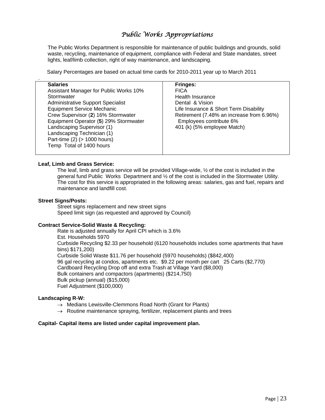## *Public Works Appropriations*

The Public Works Department is responsible for maintenance of public buildings and grounds, solid waste, recycling, maintenance of equipment, compliance with Federal and State mandates, street lights, leaf/limb collection, right of way maintenance, and landscaping.

Salary Percentages are based on actual time cards for 2010-2011 year up to March 2011

| <b>Salaries</b>                                                                                                                                                                                     | <b>Fringes:</b>                                                                                     |
|-----------------------------------------------------------------------------------------------------------------------------------------------------------------------------------------------------|-----------------------------------------------------------------------------------------------------|
| Assistant Manager for Public Works 10%                                                                                                                                                              | <b>FICA</b>                                                                                         |
| Stormwater                                                                                                                                                                                          | Health Insurance                                                                                    |
| <b>Administrative Support Specialist</b>                                                                                                                                                            | Dental & Vision                                                                                     |
| <b>Equipment Service Mechanic</b>                                                                                                                                                                   | Life Insurance & Short Term Disability                                                              |
| Crew Supervisor (2) 16% Stormwater<br>Equipment Operator (5) 29% Stormwater<br>Landscaping Supervisor (1)<br>Landscaping Technician (1)<br>Part-time (2) (> 1000 hours)<br>Temp Total of 1400 hours | Retirement (7.48% an increase from 6.96%)<br>Employees contribute 6%<br>401 (k) (5% employee Match) |

#### **Leaf, Limb and Grass Service:**

The leaf, limb and grass service will be provided Village-wide, ½ of the cost is included in the general fund Public Works Department and ½ of the cost is included in the Stormwater Utility. The cost for this service is appropriated in the following areas: salaries, gas and fuel, repairs and maintenance and landfill cost.

#### **Street Signs/Posts:**

Street signs replacement and new street signs Speed limit sign (as requested and approved by Council)

#### **Contract Service-Solid Waste & Recycling:**

Rate is adjusted annually for April CPI which is 3.6% Est. Households 5970 Curbside Recycling \$2.33 per household (6120 households includes some apartments that have bins) \$171,200) Curbside Solid Waste \$11.76 per household (5970 households) (\$842,400) 96 gal recycling at condos, apartments etc. \$9.22 per month per cart 25 Carts (\$2,770) Cardboard Recycling Drop off and extra Trash at Village Yard (\$8,000) Bulk containers and compactors (apartments) (\$214,750) Bulk pickup (annual) (\$15,000) Fuel Adjustment (\$100,000)

#### **Landscaping R-W:**

- $\rightarrow$  Medians Lewisville-Clemmons Road North (Grant for Plants)
- $\rightarrow$  Routine maintenance spraying, fertilizer, replacement plants and trees

#### **Capital- Capital items are listed under capital improvement plan.**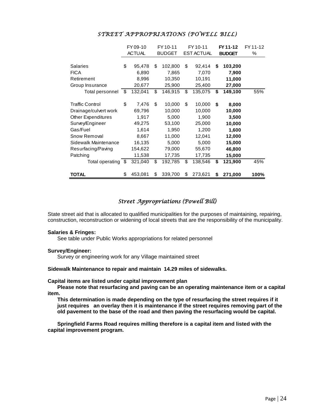|                        |     | FY 09-10      | FY 10-11      |    | FY 10-11          | FY 11-12      | FY 11-12 |
|------------------------|-----|---------------|---------------|----|-------------------|---------------|----------|
|                        |     | <b>ACTUAL</b> | <b>BUDGET</b> |    | <b>EST ACTUAL</b> | <b>BUDGET</b> | %        |
|                        |     |               |               |    |                   |               |          |
| <b>Salaries</b>        | \$  | 95,478        | \$<br>102,800 | \$ | 92,414            | \$<br>103,200 |          |
| <b>FICA</b>            |     | 6,890         | 7,865         |    | 7,070             | 7,900         |          |
| Retirement             |     | 8,996         | 10,350        |    | 10,191            | 11,000        |          |
| Group Insurance        |     | 20,677        | 25,900        |    | 25,400            | 27,000        |          |
| Total personnel        | \$  | 132,041       | \$<br>146,915 | \$ | 135,075           | \$<br>149,100 | 55%      |
|                        |     |               |               |    |                   |               |          |
| <b>Traffic Control</b> | \$  | 7,476         | \$<br>10,000  | \$ | 10,000            | \$<br>8,000   |          |
| Drainage/culvert work  |     | 69,796        | 10,000        |    | 10,000            | 10,000        |          |
| Other Expenditures     |     | 1,917         | 5,000         |    | 1,900             | 3,500         |          |
| Survey/Engineer        |     | 49,275        | 53,100        |    | 25,000            | 10,000        |          |
| Gas/Fuel               |     | 1,614         | 1,950         |    | 1,200             | 1,600         |          |
| Snow Removal           |     | 8,667         | 11,000        |    | 12,041            | 12,000        |          |
| Sidewalk Maintenance   |     | 16,135        | 5,000         |    | 5,000             | 15,000        |          |
| Resurfacing/Paving     |     | 154,622       | 79,000        |    | 55,670            | 46,800        |          |
| Patching               |     | 11,538        | 17,735        |    | 17,735            | 15,000        |          |
| Total operating        | -\$ | 321,040       | \$<br>192,785 | \$ | 138,546           | \$<br>121,900 | 45%      |
|                        |     |               |               |    |                   |               |          |
| TOTAL                  | \$  | 453,081       | \$<br>339,700 | \$ | 273,621           | \$<br>271,000 | 100%     |

#### *STREET APPROPRIATIONS (POWELL BILL)*

#### *Street Appropriations (Powell Bill)*

State street aid that is allocated to qualified municipalities for the purposes of maintaining, repairing, construction, reconstruction or widening of local streets that are the responsibility of the municipality.

#### **Salaries & Fringes:**

See table under Public Works appropriations for related personnel

#### **Survey/Engineer:**

Survey or engineering work for any Village maintained street

#### **Sidewalk Maintenance to repair and maintain 14.29 miles of sidewalks.**

#### **Capital items are listed under capital improvement plan**

 **Please note that resurfacing and paving can be an operating maintenance item or a capital item.** 

**This determination is made depending on the type of resurfacing the street requires if it just requires an overlay then it is maintenance if the street requires removing part of the old pavement to the base of the road and then paving the resurfacing would be capital.** 

 **Springfield Farms Road requires milling therefore is a capital item and listed with the capital improvement program.**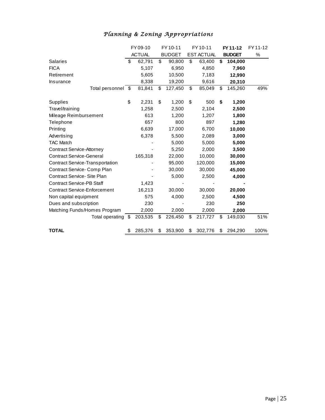## *Planning & Zoning Appropriations*

|                                        | FY 09-10      | FY 10-11 |               | FY 10-11 |                   | FY 11-12 |               | FY 11-12 |
|----------------------------------------|---------------|----------|---------------|----------|-------------------|----------|---------------|----------|
|                                        | <b>ACTUAL</b> |          | <b>BUDGET</b> |          | <b>EST ACTUAL</b> |          | <b>BUDGET</b> | $\%$     |
| <b>Salaries</b>                        | \$<br>62,791  | \$       | 90,800        | \$       | 63,400            | \$       | 104,000       |          |
| <b>FICA</b>                            | 5,107         |          | 6,950         |          | 4,850             |          | 7,960         |          |
| Retirement                             | 5,605         |          | 10,500        |          | 7,183             |          | 12,990        |          |
| Insurance                              | 8,338         |          | 19,200        |          | 9,616             |          | 20,310        |          |
| Total personnel \$                     | 81,841        | \$       | 127,450       | \$       | 85,049            | \$       | 145,260       | 49%      |
| <b>Supplies</b>                        | \$<br>2,231   | \$       | 1,200         | \$       | 500               | \$       | 1,200         |          |
| Travel/training                        | 1,258         |          | 2,500         |          | 2,104             |          | 2,500         |          |
| Mileage Reimbursement                  | 613           |          | 1,200         |          | 1,207             |          | 1,800         |          |
| Telephone                              | 657           |          | 800           |          | 897               |          | 1,280         |          |
| Printing                               | 6,639         |          | 17,000        |          | 6,700             |          | 10,000        |          |
| Advertising                            | 6,378         |          | 5,500         |          | 2,089             |          | 3,000         |          |
| <b>TAC Match</b>                       |               |          | 5,000         |          | 5,000             |          | 5,000         |          |
| <b>Contract Service-Attorney</b>       |               |          | 5,250         |          | 2,000             |          | 3,500         |          |
| <b>Contract Service-General</b>        | 165,318       |          | 22,000        |          | 10,000            |          | 30,000        |          |
| <b>Contract Service-Transportation</b> |               |          | 95,000        |          | 120,000           |          | 15,000        |          |
| Contract Service- Comp Plan            |               |          | 30,000        |          | 30,000            |          | 45,000        |          |
| <b>Contract Service- Site Plan</b>     |               |          | 5,000         |          | 2,500             |          | 4,000         |          |
| <b>Contract Service-PB Staff</b>       | 1,423         |          |               |          |                   |          |               |          |
| <b>Contract Service-Enforcement</b>    | 16,213        |          | 30,000        |          | 30,000            |          | 20,000        |          |
| Non capital equipment                  | 575           |          | 4,000         |          | 2,500             |          | 4,500         |          |
| Dues and subscription                  | 230           |          |               |          | 230               |          | 250           |          |
| Matching Funds/Homes Program           | 2,000         |          | 2,000         |          | 2,000             |          | 2,000         |          |
| Total operating \$                     | 203,535       | \$       | 226,450       | \$       | 217,727           | \$       | 149,030       | 51%      |
| <b>TOTAL</b>                           | \$<br>285,376 | \$       | 353,900       | \$       | 302,776           | \$       | 294,290       | 100%     |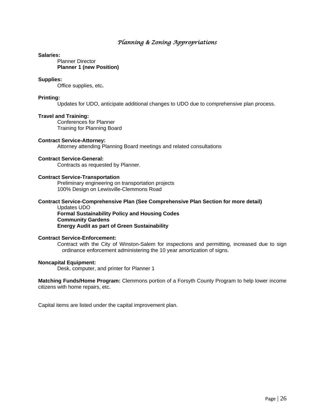#### *Planning & Zoning Appropriations*

#### **Salaries:**

Planner Director **Planner 1 (new Position)** 

#### **Supplies:**

Office supplies, etc**.** 

#### **Printing:**

Updates for UDO, anticipate additional changes to UDO due to comprehensive plan process.

#### **Travel and Training:**

Conferences for Planner Training for Planning Board

#### **Contract Service-Attorney:**

Attorney attending Planning Board meetings and related consultations

#### **Contract Service-General:**

Contracts as requested by Planner.

#### **Contract Service-Transportation**

Preliminary engineering on transportation projects 100% Design on Lewisville-Clemmons Road

#### **Contract Service-Comprehensive Plan (See Comprehensive Plan Section for more detail)**

Updates UDO  **Formal Sustainability Policy and Housing Codes Community Gardens Energy Audit as part of Green Sustainability** 

#### **Contract Service-Enforcement:**

Contract with the City of Winston-Salem for inspections and permitting, increased due to sign ordinance enforcement administering the 10 year amortization of signs.

#### **Noncapital Equipment:**

Desk, computer, and printer for Planner 1

**Matching Funds/Home Program:** Clemmons portion of a Forsyth County Program to help lower income citizens with home repairs, etc.

Capital items are listed under the capital improvement plan.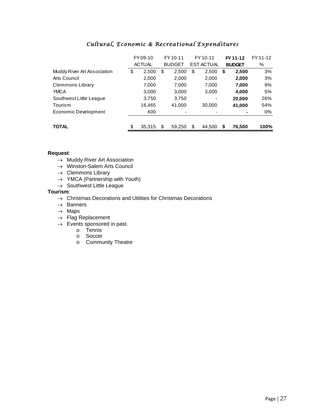|                             | FY 09-10      |    | FY 10-11      |    | FY 10-11          |    | FY 11-12      | FY 11-12 |
|-----------------------------|---------------|----|---------------|----|-------------------|----|---------------|----------|
|                             | <b>ACTUAL</b> |    | <b>BUDGET</b> |    | <b>EST ACTUAL</b> |    | <b>BUDGET</b> | %        |
| Muddy River Art Association | \$<br>2,500   | S  | 2,500         | \$ | 2,500             | \$ | 2,500         | 3%       |
| Arts Council                | 2,000         |    | 2,000         |    | 2,000             |    | 2,000         | 3%       |
| <b>Clemmons Library</b>     | 7,000         |    | 7,000         |    | 7,000             |    | 7,000         | 9%       |
| <b>YMCA</b>                 | 3,000         |    | 3,000         |    | 3,000             |    | 4,000         | 5%       |
| Southwest Little League     | 3,750         |    | 3,750         |    |                   |    | 20,000        | 26%      |
| Tourism                     | 16,465        |    | 41,000        |    | 30,000            |    | 41,000        | 54%      |
| Economic Development        | 600           |    |               |    |                   |    |               | 0%       |
|                             |               |    |               |    |                   |    |               |          |
| <b>TOTAL</b>                | \$<br>35.315  | \$ | 59.250        | \$ | 44.500            | S  | 76.500        | 100%     |

#### *Cultural, Economic & Recreational Expenditures*

#### **Request**:

- $\rightarrow$  Muddy River Art Association
- $\rightarrow$  Winston-Salem Arts Council
- $\rightarrow$  Clemmons Library
- $\rightarrow$  YMCA (Partnership with Youth)
- $\rightarrow$  Southwest Little League

#### **Tourism**:

- $\rightarrow$  Christmas Decorations and Utilities for Christmas Decorations
- $\rightarrow$  Banners
- $\rightarrow$  Maps
- $\rightarrow$  Flag Replacement
- $\rightarrow$  Events sponsored in past.
	- o Tennis
	- o Soccer
	- o Community Theatre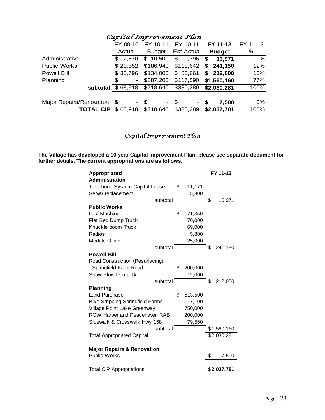|                          | Capítal Improvement Plan |               |            |               |          |  |  |  |  |  |  |  |  |  |
|--------------------------|--------------------------|---------------|------------|---------------|----------|--|--|--|--|--|--|--|--|--|
|                          | FY 09-10                 | FY 10-11      | FY 10-11   | FY 11-12      | FY 11-12 |  |  |  |  |  |  |  |  |  |
|                          | Actual                   | <b>Budget</b> | Est Actual | <b>Budget</b> | %        |  |  |  |  |  |  |  |  |  |
| Administrative           | \$12,570                 | \$10,500      | \$10,396   | 16,971<br>S   | $1\%$    |  |  |  |  |  |  |  |  |  |
| <b>Public Works</b>      | \$20,552                 | \$186,940     | \$118,642  | \$<br>241,150 | 12%      |  |  |  |  |  |  |  |  |  |
| <b>Powell Bill</b>       | \$35,796                 | \$134,000     | \$83,661   | 212,000<br>\$ | 10%      |  |  |  |  |  |  |  |  |  |
| Planning                 | ۰                        | \$387,200     | \$117,590  | \$1,560,160   | 77%      |  |  |  |  |  |  |  |  |  |
| subtotal                 | \$68,918                 | \$718,640     | \$330,289  | \$2,030,281   | 100%     |  |  |  |  |  |  |  |  |  |
|                          |                          |               |            |               |          |  |  |  |  |  |  |  |  |  |
| Major Repairs/Renovation | - \$                     | - \$          | - \$       | 7,500<br>S    | 0%       |  |  |  |  |  |  |  |  |  |
| <b>TOTAL CIP</b>         | \$68,918                 | \$718,640     | \$330,289  | \$2,037,781   | 100%     |  |  |  |  |  |  |  |  |  |

## *Capital Improvement Plan*

**The Village has developed a 10 year Capital Improvement Plan, please see separate document for further details. The current appropriations are as follows.** 

| Appropriated                            |               | FY 11-12      |
|-----------------------------------------|---------------|---------------|
| Administration                          |               |               |
| Telephone System Capital Lease          | \$<br>11,171  |               |
| Server replacement                      | 5,800         |               |
| subtotal                                |               | \$<br>16,971  |
| <b>Public Works</b>                     |               |               |
| Leaf Machine                            | \$<br>71,350  |               |
| Flat Bed Dump Truck                     | 70,000        |               |
| Knuckle boom Truck                      | 69,000        |               |
| Radios                                  | 5,800         |               |
| Module Office                           | 25,000        |               |
| subtotal                                |               | \$<br>241,150 |
| <b>Powell Bill</b>                      |               |               |
| Road Construction (Resurfacing)         |               |               |
| Springfield Farm Road                   | \$<br>200,000 |               |
| Snow Plow Dump Tk                       | 12,000        |               |
| subtotal                                |               | \$<br>212,000 |
| <b>Planning</b>                         |               |               |
| Land Purchase                           | \$<br>513,500 |               |
| <b>Bike Stripping Springfield Farms</b> | 17,100        |               |
| Village Point Lake Greenway             | 750,000       |               |
| ROW Harper and Peacehaven RAB           | 200,000       |               |
| Sidewalk & Crosswalk Hwy 158            | 79,560        |               |
| subtotal                                |               | \$1,560,160   |
| <b>Total Appropriated Capital</b>       | \$2,030,281   |               |
|                                         |               |               |
| <b>Major Repairs &amp; Renovation</b>   |               |               |
| <b>Public Works</b>                     |               | \$<br>7,500   |
|                                         |               |               |
| <b>Total CIP Appropriations</b>         |               | \$2,037,781   |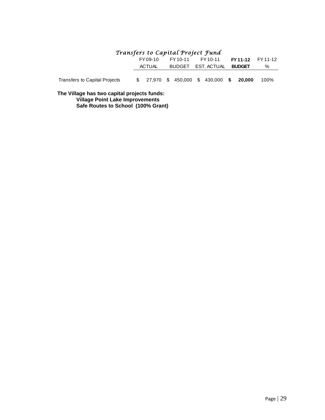## *Transfers to Capital Project Fund*

| FY 09-10 | FY 10-11 | FY 10-11                  | FY 11-12 | FY 11-12 |
|----------|----------|---------------------------|----------|----------|
| ACTUAL   |          | BUDGET EST. ACTUAL BUDGET |          | %        |

Transfers to Capital Projects \$ 27,970 \$ 450,000 \$ 430,000 **\$ 20,000** 100%

**The Village has two capital projects funds: Village Point Lake Improvements Safe Routes to School (100% Grant)**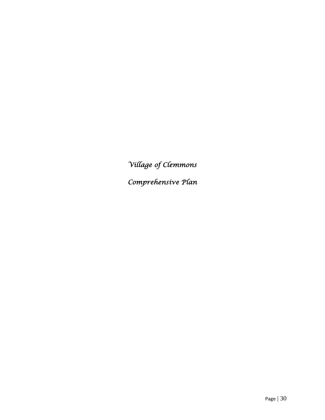# *Village of Clemmons*

*Comprehensive Plan*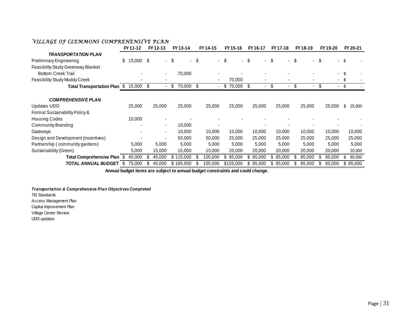#### *VILLAGE OF CLEMMONS COMPREHENSIVE PLAN*

|                                     | FY 11-12 | FY 12-13       |      | FY 13-14  |    | FY 14-15 |    | FY 15-16  | FY 16-17       | FY 17-18     |    | FY 18-19 |      | FY 19-20 |    | FY 20-21 |
|-------------------------------------|----------|----------------|------|-----------|----|----------|----|-----------|----------------|--------------|----|----------|------|----------|----|----------|
| <b>TRANSPORTATION PLAN</b>          |          |                |      |           |    |          |    |           |                |              |    |          |      |          |    |          |
| Preliminary Engineering             | \$15,000 | \$             | - \$ |           | \$ | ٠        | S  |           | - \$<br>$\sim$ | \$           | \$ |          | - \$ |          | \$ |          |
| Feasibility Study Greenway Blanket  |          |                |      |           |    |          |    |           |                |              |    |          |      |          |    |          |
| <b>Bottom Creek Trail</b>           |          | $\blacksquare$ |      | 70,000    |    |          |    |           |                |              |    |          |      |          |    |          |
| Feasibility Study Muddy Creek       |          |                |      |           |    |          |    | 70,000    |                |              |    |          |      |          |    |          |
| Total Transportation Plan \$        | 15,000   | \$             | \$   | 70,000    | \$ |          |    | \$70,000  |                |              |    |          |      |          |    |          |
|                                     |          |                |      |           |    |          |    |           |                |              |    |          |      |          |    |          |
| <b>COMPREHENSIVE PLAN</b>           |          |                |      |           |    |          |    |           |                |              |    |          |      |          |    |          |
| Updates UDO                         | 25,000   | 25,000         |      | 25,000    |    | 25,000   |    | 25,000    | 25,000         | 25,000       |    | 25,000   |      | 25,000   | \$ | 25,000   |
| Formal Sustainability Policy &      |          |                |      |           |    |          |    |           |                |              |    |          |      |          |    |          |
| <b>Housing Codes</b>                | 10,000   |                |      |           |    |          |    |           |                |              |    |          |      |          |    |          |
| Community Branding                  |          | $\sim$         |      | 10,000    |    |          |    |           |                |              |    |          |      |          |    |          |
| Gateways                            |          | ٠              |      | 10,000    |    | 10,000   |    | 10,000    | 10,000         | 10,000       |    | 10,000   |      | 10,000   |    | 10,000   |
| Design and Development (incentives) |          |                |      | 50,000    |    | 50,000   |    | 25,000    | 25,000         | 25,000       |    | 25,000   |      | 25,000   |    | 25,000   |
| Partnership (community gardens)     | 5,000    | 5,000          |      | 5,000     |    | 5,000    |    | 5,000     | 5,000          | 5,000        |    | 5,000    |      | 5,000    |    | 5,000    |
| Sustainability (Green)              | 5,000    | 15,000         |      | 15,000    |    | 15,000   |    | 20,000    | 20,000         | 20,000       |    | 20,000   |      | 20,000   |    | 20,000   |
| Total Comprehensive Plan \$         | 45,000   | 45,000         |      | \$115,000 | S  | 105,000  | \$ | 85,000    | \$85,000       | \$<br>85,000 | \$ | 85,000   |      | 85,000   |    | 85,000   |
| TOTAL ANNUAL BUDGET                 | 75,000   | 45,000         |      | \$185,000 | ъ  | 105,000  |    | \$155,000 | \$85,000       | \$<br>85,000 | S  | 85,000   |      | 85,000   | S. | 85,000   |
|                                     |          |                |      |           |    |          |    |           |                |              |    |          |      |          |    |          |

 **Annual budget items are subject to annual budget constraints and could change.**

*Transportation & Comprehensive Plan Objectives Completed* TIS Standards Access Management Plan Capital Improvement Plan Village Center Review UDO updates

Page | 31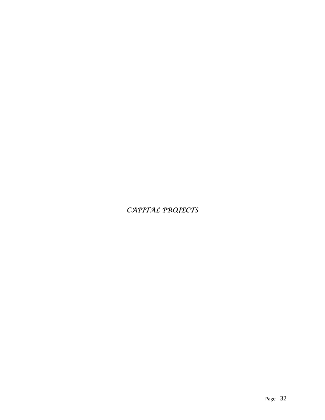## *CAPITAL PROJECTS*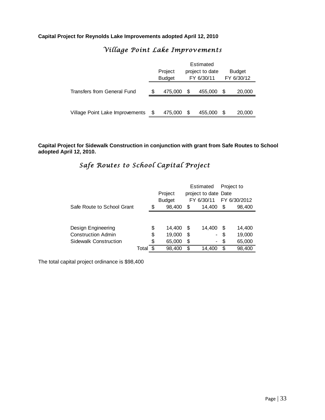#### **Capital Project for Reynolds Lake Improvements adopted April 12, 2010**

#### Project Budget Estimated project to date FY 6/30/11 Budget FY 6/30/12 Transfers from General Fund \$ 475,000 \$ 455,000 \$ 20,000 Village Point Lake Improvements \$ 475,000 \$ 455,000 \$ 20,000

## *Village Point Lake Improvements*

**Capital Project for Sidewalk Construction in conjunction with grant from Safe Routes to School adopted April 12, 2010.** 

## *Safe Routes to School Capital Project*

|       |                            | Project |               |        |                         | Project to           |
|-------|----------------------------|---------|---------------|--------|-------------------------|----------------------|
|       |                            |         |               |        |                         | FY 6/30/2012         |
|       | \$                         | 98,400  | S             | 14.400 | \$                      | 98,400               |
|       |                            |         |               |        |                         |                      |
|       | \$                         | 14,400  | S             | 14.400 | S                       | 14,400               |
|       | \$                         | 19,000  | \$            | -      | \$                      | 19,000               |
|       | \$                         | 65,000  | \$            |        | \$                      | 65,000               |
| Total | S.                         | 98,400  | \$            | 14,400 | \$                      | 98,400               |
|       | Safe Route to School Grant |         | <b>Budget</b> |        | Estimated<br>FY 6/30/11 | project to date Date |

The total capital project ordinance is \$98,400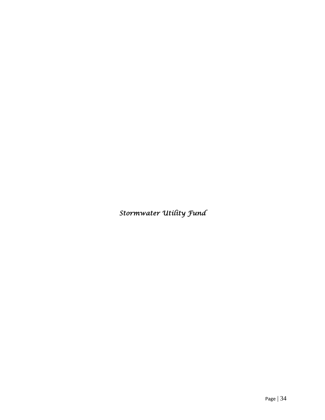*Stormwater Utility Fund*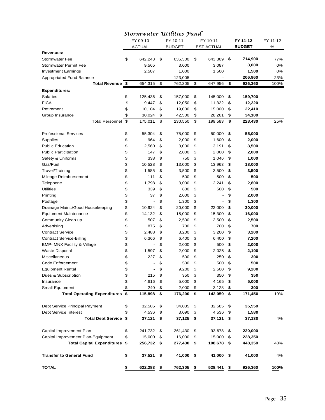|                                        | JUVI IIUMUULI                  |    | accocco j ana |                   |               |          |  |  |
|----------------------------------------|--------------------------------|----|---------------|-------------------|---------------|----------|--|--|
|                                        | FY 09-10                       |    | FY 10-11      | FY 10-11          | FY 11-12      | FY 11-12 |  |  |
|                                        | <b>ACTUAL</b>                  |    | <b>BUDGET</b> | <b>EST ACTUAL</b> | <b>BUDGET</b> | ℅        |  |  |
| Revenues:                              |                                |    |               |                   |               |          |  |  |
| <b>Stormwater Fee</b>                  | \$<br>642,243                  | \$ | 635,300       | \$<br>643,369     | \$<br>714,900 | 77%      |  |  |
| <b>Stormwater Permit Fee</b>           | 9,565                          |    | 3,000         | 3,087             | 3,000         | 0%       |  |  |
| <b>Investment Earnings</b>             | 2,507                          |    | 1,000         | 1,500             | 1,500         | 0%       |  |  |
| <b>Appropriated Fund Balance</b>       |                                |    | 123,005       |                   | 206,960       | 23%      |  |  |
| Total Revenue \$                       | 654,315                        | \$ | 762,305       | \$<br>647,956     | \$<br>926,360 | 100%     |  |  |
| <b>Expenditures:</b>                   |                                |    |               |                   |               |          |  |  |
| Salaries                               | \$<br>125,436                  | \$ | 157,000       | \$<br>145,000     | \$<br>159,700 |          |  |  |
| <b>FICA</b>                            | \$<br>9,447                    | \$ | 12,050        | \$<br>11,322      | \$<br>12,220  |          |  |  |
| Retirement                             | \$<br>10,104                   | \$ | 19,000        | \$<br>15,000      | \$<br>22,410  |          |  |  |
| Group Insurance                        | \$<br>30,024                   | \$ | 42,500        | \$<br>28,261      | \$<br>34,100  |          |  |  |
| <b>Total Personnel</b>                 | \$<br>175,011                  | \$ | 230,550       | \$<br>199,583     | \$<br>228,430 | 25%      |  |  |
| <b>Professional Services</b>           | \$<br>55,304                   | \$ | 75,000        | \$<br>50,000      | \$<br>55,000  |          |  |  |
| Supplies                               | \$<br>964                      | \$ | 2,000         | \$<br>1,600       | \$<br>2,000   |          |  |  |
| <b>Public Education</b>                | \$<br>2,560                    | \$ | 3,000         | \$<br>3,191       | \$<br>3,500   |          |  |  |
| <b>Public Participation</b>            | \$<br>147                      | \$ | 2,000         | \$<br>2,000       | \$<br>2,000   |          |  |  |
| Safety & Uniforms                      | \$<br>338                      | \$ | 750           | \$<br>1,046       | \$<br>1,000   |          |  |  |
| Gas/Fuel                               | \$<br>10,528                   | \$ | 13,000        | \$<br>13,963      | \$<br>18,000  |          |  |  |
| Travel/Training                        | \$<br>1,585                    | \$ | 3,500         | \$<br>3,500       | \$<br>3,500   |          |  |  |
| Mileage Reimbursement                  | \$<br>111                      | \$ | 500           | \$<br>500         | \$<br>500     |          |  |  |
| Telephone                              | \$<br>1,798                    | \$ | 3,000         | \$<br>2,241       | \$<br>2,800   |          |  |  |
| <b>Utilities</b>                       | \$<br>339                      | \$ | 800           | \$<br>500         | \$<br>500     |          |  |  |
| Printing                               | \$<br>37                       | \$ | 2,000         | \$                | \$<br>2,000   |          |  |  |
| Postage                                | \$                             | \$ | 1,300         | \$                | \$<br>1,300   |          |  |  |
| Drainage Maint./Good Housekeeping      | \$<br>10,924                   | \$ | 20,000        | \$<br>22,000      | \$<br>30,000  |          |  |  |
| <b>Equipment Maintenance</b>           | \$<br>14,132                   | \$ | 15,000        | \$<br>15,300      | \$<br>16,000  |          |  |  |
| Community Clean-up                     | \$<br>507                      | \$ | 2,500         | \$<br>2,500       | \$<br>2,500   |          |  |  |
| Advertising                            | \$<br>875                      | \$ | 700           | \$<br>700         | \$<br>700     |          |  |  |
| <b>Contract Service</b>                | \$<br>2,488                    | \$ | 3,200         | \$<br>3,200       | \$<br>3,200   |          |  |  |
| <b>Contract Service-Billing</b>        | \$<br>6,366                    | \$ | 6,400         | \$<br>6,400       | \$<br>7,200   |          |  |  |
| <b>BMP- MNX Facility &amp; Village</b> | \$<br>÷,                       | \$ | 2,000         | \$<br>500         | \$<br>2,000   |          |  |  |
| <b>Waste Disposal</b>                  | \$<br>1,597                    | \$ | 2,000         | \$<br>2,025       | \$<br>2,100   |          |  |  |
| Miscellaneous                          | \$<br>227                      | \$ | 500           | \$<br>250         | \$<br>300     |          |  |  |
| Code Enforcement                       | \$                             | \$ | 500           | \$<br>500         | \$<br>500     |          |  |  |
| <b>Equipment Rental</b>                | \$<br>$\overline{\phantom{a}}$ | \$ | 9,200         | \$<br>2,500       | \$<br>9,200   |          |  |  |
| Dues & Subscription                    | \$<br>215                      | \$ | 350           | \$<br>350         | \$<br>350     |          |  |  |
| Insurance                              | \$<br>4,616                    | \$ | 5,000         | \$<br>4,165       | \$<br>5,000   |          |  |  |
| Small Equipment                        | \$<br>240                      | \$ | 2,000         | \$<br>3,128       | \$<br>300     |          |  |  |
| Total Operating Expenditures \$        | 115,898                        | \$ | 176,200       | \$<br>142,059     | \$<br>171,450 | 19%      |  |  |
| Debt Service Principal Payment         | \$<br>32,585                   | \$ | 34,035        | \$<br>32,585      | \$<br>35,550  |          |  |  |
| Debt Service Interest                  | \$<br>4,536                    | \$ | 3,090         | \$<br>4,536       | \$<br>1,580   |          |  |  |
| <b>Total Debt Service \$</b>           | 37,121                         | \$ | 37,125        | \$<br>37,121      | \$<br>37,130  | 4%       |  |  |
| Capital Improvement Plan               | \$<br>241,732                  | \$ | 261,430       | \$<br>93,678      | \$<br>220,000 |          |  |  |
| Capital Improvement Plan-Equipment     | \$<br>15,000                   | \$ | 16,000        | \$<br>15,000      | \$<br>228,350 |          |  |  |
| <b>Total Capital Expenditures \$</b>   | 256,732                        | \$ | 277,430       | \$<br>108,678     | \$<br>448,350 | 48%      |  |  |
| <b>Transfer to General Fund</b>        | \$<br>37,521                   | \$ | 41,000        | \$<br>41,000      | \$<br>41,000  | 4%       |  |  |
| <b>TOTAL</b>                           | \$<br>622,283                  | \$ | 762,305       | \$<br>528,441     | \$<br>926,360 | 100%     |  |  |

### *Stormwater Utilities Fund*